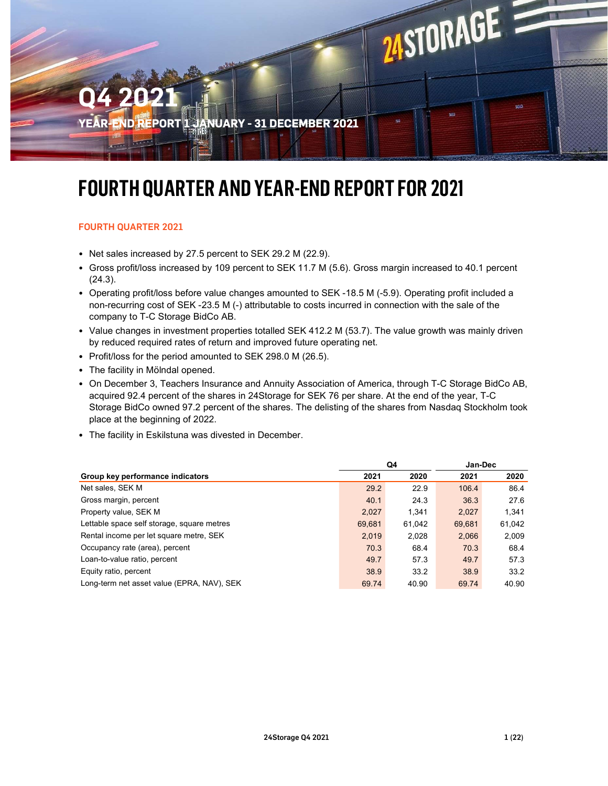# **MSTORAGE** Q4 2021 558 REPORT 1 JANUARY - 31 DECEMBER 2021

### FOURTH QUARTER AND YEAR-END REPORT FOR 2021

#### FOURTH QUARTER 2021

- Net sales increased by 27.5 percent to SEK 29.2 M (22.9).
- Gross profit/loss increased by 109 percent to SEK 11.7 M (5.6). Gross margin increased to 40.1 percent (24.3).
- Operating profit/loss before value changes amounted to SEK -18.5 M (-5.9). Operating profit included a non-recurring cost of SEK -23.5 M (-) attributable to costs incurred in connection with the sale of the company to T-C Storage BidCo AB.
- Value changes in investment properties totalled SEK 412.2 M (53.7). The value growth was mainly driven by reduced required rates of return and improved future operating net.
- Profit/loss for the period amounted to SEK 298.0 M (26.5).
- The facility in Mölndal opened.
- On December 3, Teachers Insurance and Annuity Association of America, through T-C Storage BidCo AB, acquired 92.4 percent of the shares in 24Storage for SEK 76 per share. At the end of the year, T-C Storage BidCo owned 97.2 percent of the shares. The delisting of the shares from Nasdaq Stockholm took place at the beginning of 2022.
- The facility in Eskilstuna was divested in December.

| • Net sales increased by 27.5 percent to SEK 29.2 M (22.9).                                                                                                                                                                                             |              |              |               |              |
|---------------------------------------------------------------------------------------------------------------------------------------------------------------------------------------------------------------------------------------------------------|--------------|--------------|---------------|--------------|
| • Gross profit/loss increased by 109 percent to SEK 11.7 M (5.6). Gross margin increased to 40.1 percent<br>(24.3).                                                                                                                                     |              |              |               |              |
| • Operating profit/loss before value changes amounted to SEK -18.5 M (-5.9). Operating profit included a<br>non-recurring cost of SEK -23.5 M (-) attributable to costs incurred in connection with the sale of the<br>company to T-C Storage BidCo AB. |              |              |               |              |
| • Value changes in investment properties totalled SEK 412.2 M (53.7). The value growth was mainly driven<br>by reduced required rates of return and improved future operating net.                                                                      |              |              |               |              |
| • Profit/loss for the period amounted to SEK 298.0 M (26.5).                                                                                                                                                                                            |              |              |               |              |
|                                                                                                                                                                                                                                                         |              |              |               |              |
| • The facility in Mölndal opened.<br>• On December 3, Teachers Insurance and Annuity Association of America, through T-C Storage BidCo AB,<br>acquired 92.4 percent of the shares in 24Storage for SEK 76 per share. At the end of the year, T-C        |              |              |               |              |
| Storage BidCo owned 97.2 percent of the shares. The delisting of the shares from Nasdaq Stockholm took<br>place at the beginning of 2022.<br>• The facility in Eskilstuna was divested in December.                                                     |              |              |               |              |
|                                                                                                                                                                                                                                                         |              | Q4           | Jan-Dec       |              |
| Group key performance indicators<br>Net sales, SEK M                                                                                                                                                                                                    | 2021<br>29.2 | 2020<br>22.9 | 2021<br>106.4 | 2020<br>86.4 |
| Gross margin, percent                                                                                                                                                                                                                                   | 40.1         | 24.3         | 36.3          | 27.6         |
| Property value, SEK M                                                                                                                                                                                                                                   | 2,027        | 1,341        | 2,027         | 1,341        |
| Lettable space self storage, square metres                                                                                                                                                                                                              | 69,681       | 61,042       | 69,681        | 61,042       |
| Rental income per let square metre, SEK                                                                                                                                                                                                                 | 2,019        | 2,028        | 2,066         | 2,009        |
| Occupancy rate (area), percent                                                                                                                                                                                                                          | 70.3         | 68.4         | 70.3          | 68.4         |
| Loan-to-value ratio, percent                                                                                                                                                                                                                            | 49.7         | 57.3         | 49.7          | 57.3         |
| Equity ratio, percent                                                                                                                                                                                                                                   | 38.9         | 33.2         | 38.9          | 33.2         |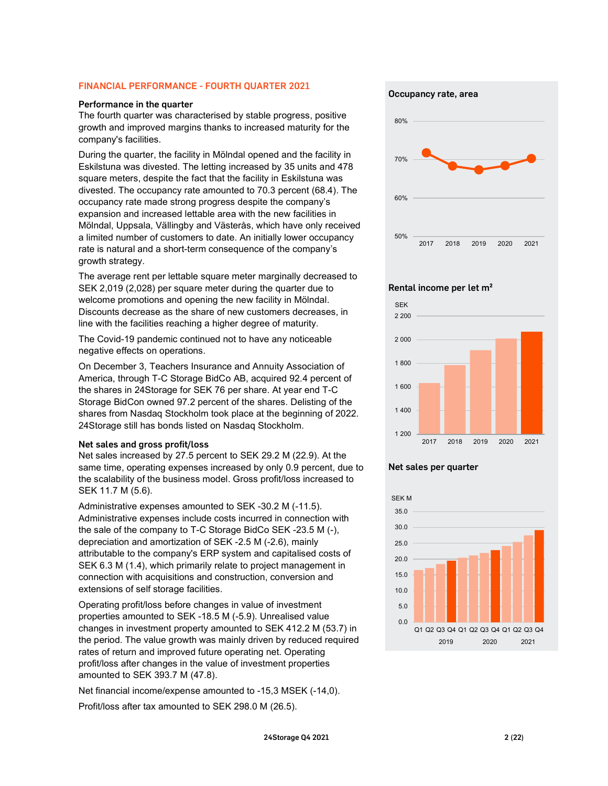#### FINANCIAL PERFORMANCE - FOURTH QUARTER 2021

#### Performance in the quarter

The fourth quarter was characterised by stable progress, positive growth and improved margins thanks to increased maturity for the company's facilities.

During the quarter, the facility in Mölndal opened and the facility in Eskilstuna was divested. The letting increased by 35 units and 478 square meters, despite the fact that the facility in Eskilstuna was divested. The occupancy rate amounted to 70.3 percent (68.4). The occupancy rate made strong progress despite the company's expansion and increased lettable area with the new facilities in Mölndal, Uppsala, Vällingby and Västerås, which have only received a limited number of customers to date. An initially lower occupancy rate is natural and a short-term consequence of the company's growth strategy.

The average rent per lettable square meter marginally decreased to SEK 2,019 (2,028) per square meter during the quarter due to welcome promotions and opening the new facility in Mölndal. Discounts decrease as the share of new customers decreases, in line with the facilities reaching a higher degree of maturity.

The Covid-19 pandemic continued not to have any noticeable negative effects on operations.

On December 3, Teachers Insurance and Annuity Association of America, through T-C Storage BidCo AB, acquired 92.4 percent of the shares in 24Storage for SEK 76 per share. At year end T-C Storage BidCon owned 97.2 percent of the shares. Delisting of the shares from Nasdaq Stockholm took place at the beginning of 2022. 24Storage still has bonds listed on Nasdaq Stockholm.

#### Net sales and gross profit/loss

Net sales increased by 27.5 percent to SEK 29.2 M (22.9). At the same time, operating expenses increased by only 0.9 percent, due to the scalability of the business model. Gross profit/loss increased to SEK 11.7 M (5.6).

Administrative expenses amounted to SEK -30.2 M (-11.5). Administrative expenses include costs incurred in connection with the sale of the company to T-C Storage BidCo SEK -23.5 M (-), depreciation and amortization of SEK -2.5 M (-2.6), mainly attributable to the company's ERP system and capitalised costs of SEK 6.3 M (1.4), which primarily relate to project management in connection with acquisitions and construction, conversion and extensions of self storage facilities.

Operating profit/loss before changes in value of investment properties amounted to SEK -18.5 M (-5.9). Unrealised value changes in investment property amounted to SEK 412.2 M (53.7) in the period. The value growth was mainly driven by reduced required rates of return and improved future operating net. Operating profit/loss after changes in the value of investment properties amounted to SEK 393.7 M (47.8).

Net financial income/expense amounted to -15,3 MSEK (-14,0).

Profit/loss after tax amounted to SEK 298.0 M (26.5).

Occupancy rate, area



#### Rental income per let m²



#### Net sales per quarter

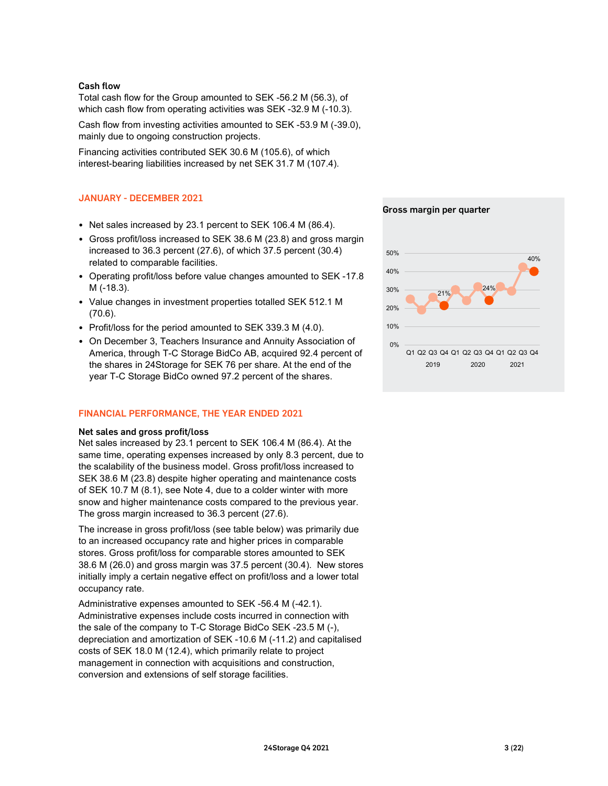#### Cash flow

Total cash flow for the Group amounted to SEK -56.2 M (56.3), of which cash flow from operating activities was SEK -32.9 M (-10.3).

Cash flow from investing activities amounted to SEK -53.9 M (-39.0), mainly due to ongoing construction projects.

Financing activities contributed SEK 30.6 M (105.6), of which interest-bearing liabilities increased by net SEK 31.7 M (107.4).

#### JANUARY - DECEMBER 2021

- Net sales increased by 23.1 percent to SEK 106.4 M (86.4).
- Gross profit/loss increased to SEK 38.6 M (23.8) and gross margin increased to 36.3 percent (27.6), of which 37.5 percent (30.4) related to comparable facilities.
- Operating profit/loss before value changes amounted to SEK -17.8 M (-18.3).
- Value changes in investment properties totalled SEK 512.1 M (70.6).
- Profit/loss for the period amounted to SEK 339.3 M (4.0).
- On December 3, Teachers Insurance and Annuity Association of America, through T-C Storage BidCo AB, acquired 92.4 percent of the shares in 24Storage for SEK 76 per share. At the end of the year T-C Storage BidCo owned 97.2 percent of the shares.

#### FINANCIAL PERFORMANCE, THE YEAR ENDED 2021

#### Net sales and gross profit/loss

Net sales increased by 23.1 percent to SEK 106.4 M (86.4). At the same time, operating expenses increased by only 8.3 percent, due to the scalability of the business model. Gross profit/loss increased to SEK 38.6 M (23.8) despite higher operating and maintenance costs of SEK 10.7 M (8.1), see Note 4, due to a colder winter with more snow and higher maintenance costs compared to the previous year. The gross margin increased to 36.3 percent (27.6).

The increase in gross profit/loss (see table below) was primarily due to an increased occupancy rate and higher prices in comparable stores. Gross profit/loss for comparable stores amounted to SEK 38.6 M (26.0) and gross margin was 37.5 percent (30.4). New stores initially imply a certain negative effect on profit/loss and a lower total occupancy rate.

Administrative expenses amounted to SEK -56.4 M (-42.1). Administrative expenses include costs incurred in connection with the sale of the company to T-C Storage BidCo SEK -23.5 M (-), depreciation and amortization of SEK -10.6 M (-11.2) and capitalised costs of SEK 18.0 M (12.4), which primarily relate to project management in connection with acquisitions and construction, conversion and extensions of self storage facilities.



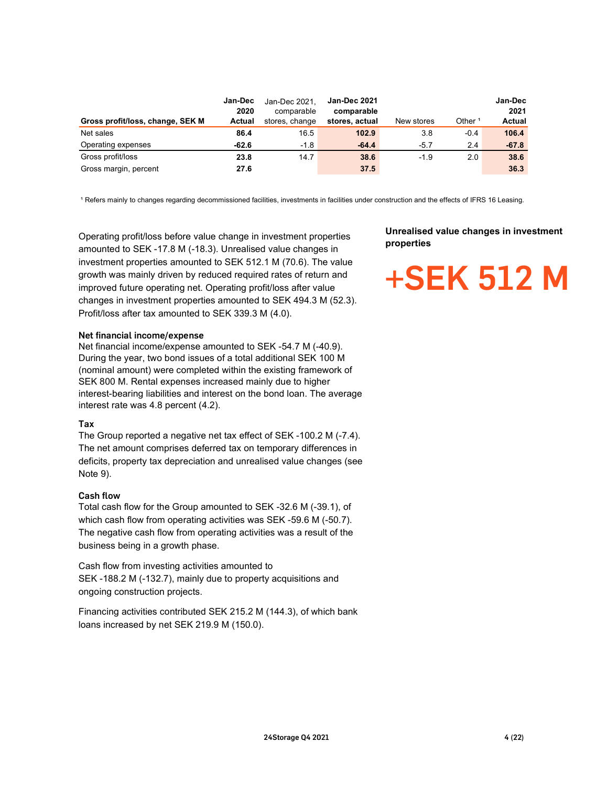|                                                                                                                                                  | Jan-Dec        | Jan-Dec 2021,                | Jan-Dec 2021                 |                                               |                    | Jan-Dec        |  |
|--------------------------------------------------------------------------------------------------------------------------------------------------|----------------|------------------------------|------------------------------|-----------------------------------------------|--------------------|----------------|--|
| Gross profit/loss, change, SEK M                                                                                                                 | 2020<br>Actual | comparable<br>stores, change | comparable<br>stores, actual | New stores                                    | Other <sup>1</sup> | 2021<br>Actual |  |
| Net sales                                                                                                                                        | 86.4           | 16.5                         | 102.9                        | 3.8                                           | $-0.4$             | 106.4          |  |
| Operating expenses                                                                                                                               | $-62.6$        | $-1.8$                       | $-64.4$                      | $-5.7$                                        | 2.4                | $-67.8$        |  |
| Gross profit/loss                                                                                                                                | 23.8           | 14.7                         | 38.6                         | $-1.9$                                        | 2.0                | 38.6           |  |
| Gross margin, percent                                                                                                                            | 27.6           |                              | 37.5                         |                                               |                    | 36.3           |  |
|                                                                                                                                                  |                |                              |                              |                                               |                    |                |  |
|                                                                                                                                                  |                |                              |                              |                                               |                    |                |  |
| 1 Refers mainly to changes regarding decommissioned facilities, investments in facilities under construction and the effects of IFRS 16 Leasing. |                |                              |                              |                                               |                    |                |  |
|                                                                                                                                                  |                |                              |                              |                                               |                    |                |  |
|                                                                                                                                                  |                |                              |                              | <b>Unrealised value changes in investment</b> |                    |                |  |

Operating profit/loss before value change in investment properties amounted to SEK -17.8 M (-18.3). Unrealised value changes in investment properties amounted to SEK 512.1 M (70.6). The value growth was mainly driven by reduced required rates of return and improved future operating net. Operating profit/loss after value changes in investment properties amounted to SEK 494.3 M (52.3). Profit/loss after tax amounted to SEK 339.3 M (4.0).

#### Net financial income/expense

Net financial income/expense amounted to SEK -54.7 M (-40.9). During the year, two bond issues of a total additional SEK 100 M (nominal amount) were completed within the existing framework of SEK 800 M. Rental expenses increased mainly due to higher interest-bearing liabilities and interest on the bond loan. The average interest rate was 4.8 percent (4.2).

#### Tax

The Group reported a negative net tax effect of SEK -100.2 M (-7.4). The net amount comprises deferred tax on temporary differences in deficits, property tax depreciation and unrealised value changes (see Note 9).

#### Cash flow

Total cash flow for the Group amounted to SEK -32.6 M (-39.1), of which cash flow from operating activities was SEK -59.6 M (-50.7). The negative cash flow from operating activities was a result of the business being in a growth phase.

Cash flow from investing activities amounted to SEK -188.2 M (-132.7), mainly due to property acquisitions and ongoing construction projects.

Financing activities contributed SEK 215.2 M (144.3), of which bank loans increased by net SEK 219.9 M (150.0).

#### Unrealised value changes in investment properties

## +SEK 512 M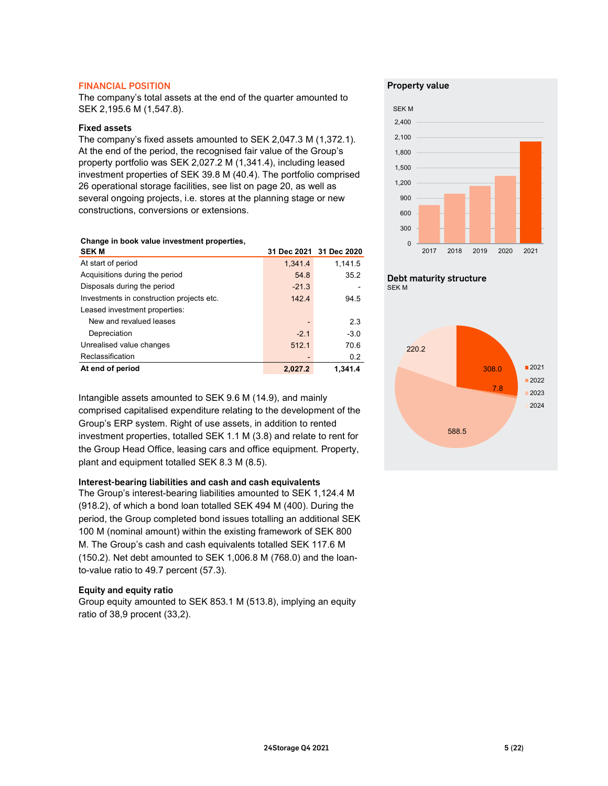#### FINANCIAL POSITION

#### Fixed assets

#### Change in book value investment properties,

| SEK 2,195.6 M (1,547.8).<br><b>Fixed assets</b>                                                                                                                                                           |         |                         | <b>SEKM</b><br>2,400    |              |
|-----------------------------------------------------------------------------------------------------------------------------------------------------------------------------------------------------------|---------|-------------------------|-------------------------|--------------|
| The company's fixed assets amounted to SEK 2,047.3 M (1,372.1).<br>At the end of the period, the recognised fair value of the Group's<br>property portfolio was SEK 2,027.2 M (1,341.4), including leased |         |                         | 2,100<br>1,800          |              |
| investment properties of SEK 39.8 M (40.4). The portfolio comprised<br>26 operational storage facilities, see list on page 20, as well as                                                                 |         |                         | 1,500<br>1,200          |              |
| several ongoing projects, i.e. stores at the planning stage or new<br>constructions, conversions or extensions.                                                                                           |         |                         | 900<br>600<br>300       |              |
| Change in book value investment properties,<br><b>SEKM</b>                                                                                                                                                |         | 31 Dec 2021 31 Dec 2020 | 2018<br>2017<br>2019    | 2020<br>2021 |
| At start of period                                                                                                                                                                                        | 1,341.4 | 1,141.5                 |                         |              |
| Acquisitions during the period                                                                                                                                                                            | 54.8    | 35.2                    | Debt maturity structure |              |
| Disposals during the period                                                                                                                                                                               | $-21.3$ |                         | <b>SEKM</b>             |              |
| Investments in construction projects etc.<br>Leased investment properties:                                                                                                                                | 142.4   | 94.5                    |                         |              |
| New and revalued leases                                                                                                                                                                                   |         | 2.3                     |                         |              |
| Depreciation                                                                                                                                                                                              | $-2.1$  | $-3.0$                  |                         |              |
| Unrealised value changes                                                                                                                                                                                  | 512.1   | 70.6                    | 220.2                   |              |
| Reclassification<br>At end of period                                                                                                                                                                      | 2,027.2 | 0.2<br>1,341.4          | 308.0                   | ■2021        |
|                                                                                                                                                                                                           |         |                         | 7.8                     | 2022<br>2023 |
| Intangible assets amounted to SEK 9.6 M (14.9), and mainly<br>comprised capitalised expenditure relating to the development of the<br>Group's ERP system. Right of use assets, in addition to rented      |         |                         |                         | 2024         |

Intangible assets amounted to SEK 9.6 M (14.9), and mainly comprised capitalised expenditure relating to the development of the Group's ERP system. Right of use assets, in addition to rented investment properties, totalled SEK 1.1 M (3.8) and relate to rent for the Group Head Office, leasing cars and office equipment. Property, plant and equipment totalled SEK 8.3 M (8.5).

#### Interest-bearing liabilities and cash and cash equivalents

The Group's interest-bearing liabilities amounted to SEK 1,124.4 M (918.2), of which a bond loan totalled SEK 494 M (400). During the period, the Group completed bond issues totalling an additional SEK 100 M (nominal amount) within the existing framework of SEK 800 M. The Group's cash and cash equivalents totalled SEK 117.6 M (150.2). Net debt amounted to SEK 1,006.8 M (768.0) and the loanto-value ratio to 49.7 percent (57.3).

#### Equity and equity ratio

Group equity amounted to SEK 853.1 M (513.8), implying an equity ratio of 38,9 procent (33,2).

#### Property value





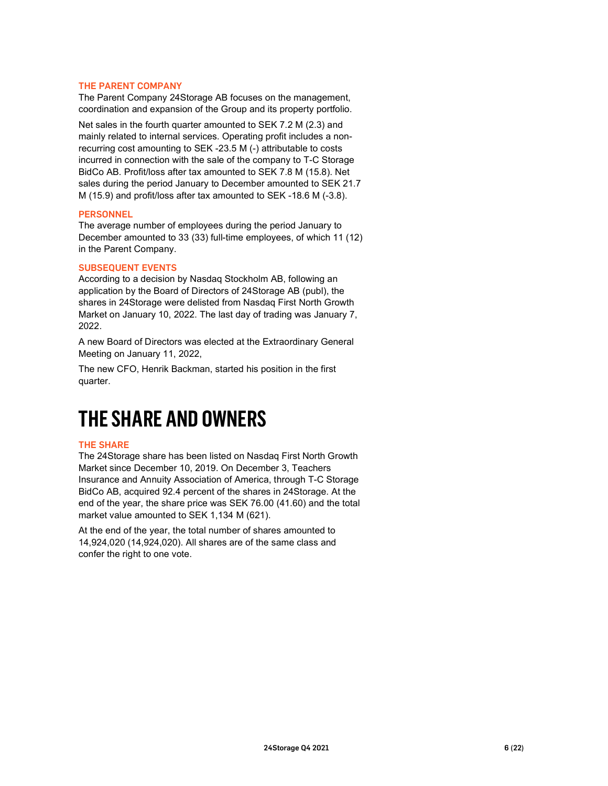#### THE PARENT COMPANY

The Parent Company 24Storage AB focuses on the management, coordination and expansion of the Group and its property portfolio.

Net sales in the fourth quarter amounted to SEK 7.2 M (2.3) and mainly related to internal services. Operating profit includes a nonrecurring cost amounting to SEK -23.5 M (-) attributable to costs incurred in connection with the sale of the company to T-C Storage BidCo AB. Profit/loss after tax amounted to SEK 7.8 M (15.8). Net sales during the period January to December amounted to SEK 21.7 M (15.9) and profit/loss after tax amounted to SEK -18.6 M (-3.8).

#### PERSONNEL

The average number of employees during the period January to December amounted to 33 (33) full-time employees, of which 11 (12) in the Parent Company.

#### SUBSEQUENT EVENTS

According to a decision by Nasdaq Stockholm AB, following an application by the Board of Directors of 24Storage AB (publ), the shares in 24Storage were delisted from Nasdaq First North Growth Market on January 10, 2022. The last day of trading was January 7, 2022.

A new Board of Directors was elected at the Extraordinary General Meeting on January 11, 2022,

The new CFO, Henrik Backman, started his position in the first quarter.

### THE SHARE AND OWNERS

#### THE SHARE

The 24Storage share has been listed on Nasdaq First North Growth Market since December 10, 2019. On December 3, Teachers Insurance and Annuity Association of America, through T-C Storage BidCo AB, acquired 92.4 percent of the shares in 24Storage. At the end of the year, the share price was SEK 76.00 (41.60) and the total market value amounted to SEK 1,134 M (621).

At the end of the year, the total number of shares amounted to 14,924,020 (14,924,020). All shares are of the same class and confer the right to one vote.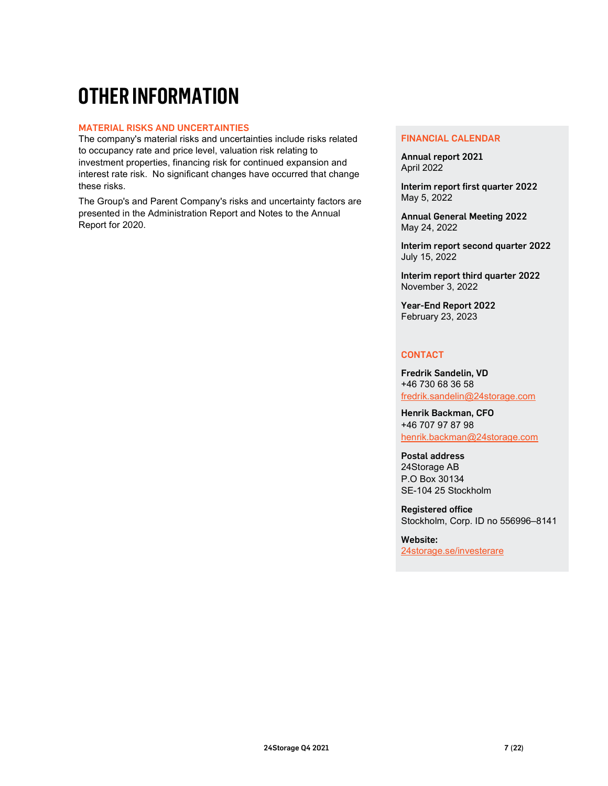### OTHER INFORMATION

#### MATERIAL RISKS AND UNCERTAINTIES

The company's material risks and uncertainties include risks related to occupancy rate and price level, valuation risk relating to investment properties, financing risk for continued expansion and interest rate risk. No significant changes have occurred that change these risks.

The Group's and Parent Company's risks and uncertainty factors are presented in the Administration Report and Notes to the Annual Report for 2020.

#### FINANCIAL CALENDAR

Annual report 2021 April 2022

Interim report first quarter 2022 May 5, 2022

Annual General Meeting 2022 May 24, 2022

Interim report second quarter 2022 July 15, 2022

Interim report third quarter 2022 November 3, 2022

Year-End Report 2022 February 23, 2023

#### **CONTACT**

Fredrik Sandelin, VD +46 730 68 36 58 fredrik.sandelin@24storage.com

Henrik Backman, CFO +46 707 97 87 98 henrik.backman@24storage.com

Postal address 24Storage AB P.O Box 30134 SE-104 25 Stockholm

Registered office Stockholm, Corp. ID no 556996–8141

Website: 24storage.se/investerare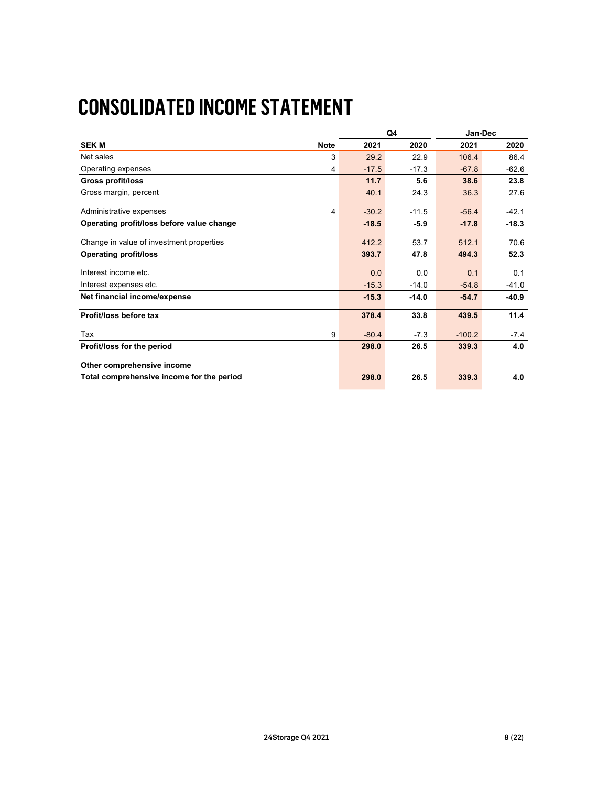### CONSOLIDATED INCOME STATEMENT

| <b>CONSOLIDATED INCOME STATEMENT</b>                                    |              |              |                    |          |         |
|-------------------------------------------------------------------------|--------------|--------------|--------------------|----------|---------|
|                                                                         |              |              |                    |          |         |
|                                                                         |              | Q4           |                    | Jan-Dec  |         |
| <b>SEKM</b>                                                             | <b>Note</b>  | 2021         | 2020               | 2021     | 2020    |
| Net sales                                                               | $\mathbf{3}$ | 29.2         | 22.9               | 106.4    | 86.4    |
| Operating expenses                                                      | 4            | $-17.5$      | $-17.3$            | $-67.8$  | $-62.6$ |
| <b>Gross profit/loss</b>                                                |              |              | 5.6                |          | 23.8    |
|                                                                         |              | 11.7<br>40.1 |                    | 38.6     |         |
|                                                                         |              |              |                    |          |         |
| Gross margin, percent                                                   |              |              | 24.3               | 36.3     | 27.6    |
| Administrative expenses                                                 | 4            | $-30.2$      | $-11.5$            | $-56.4$  | $-42.1$ |
| Operating profit/loss before value change                               |              | $-18.5$      | $-5.9$             | $-17.8$  | $-18.3$ |
|                                                                         |              |              |                    |          |         |
| Change in value of investment properties                                |              | 412.2        | 53.7               | 512.1    | 70.6    |
| <b>Operating profit/loss</b>                                            |              | 393.7        | 47.8               | 494.3    | 52.3    |
|                                                                         |              |              |                    |          |         |
| Interest income etc.                                                    |              | 0.0          | 0.0                | 0.1      | 0.1     |
| Interest expenses etc.                                                  |              | $-15.3$      | $-14.0$<br>$-14.0$ | $-54.8$  | $-41.0$ |
| Net financial income/expense                                            |              | $-15.3$      |                    | $-54.7$  | $-40.9$ |
| Profit/loss before tax                                                  |              | 378.4        | 33.8               | 439.5    | 11.4    |
| Tax                                                                     | 9            | $-80.4$      | $-7.3$             | $-100.2$ | $-7.4$  |
| Profit/loss for the period                                              |              | 298.0        | 26.5               | 339.3    | 4.0     |
|                                                                         |              |              |                    |          |         |
| Other comprehensive income<br>Total comprehensive income for the period |              | 298.0        | 26.5               | 339.3    | 4.0     |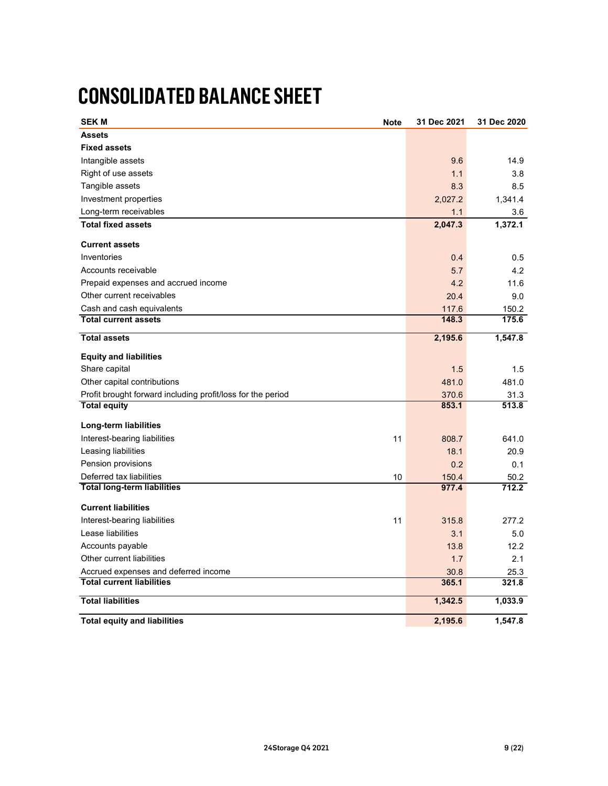### CONSOLIDATED BALANCE SHEET

| <b>CONSOLIDATED BALANCE SHEET</b>                           |             |                |                |
|-------------------------------------------------------------|-------------|----------------|----------------|
|                                                             |             |                |                |
| <b>SEK M</b>                                                | <b>Note</b> | 31 Dec 2021    | 31 Dec 2020    |
| <b>Assets</b>                                               |             |                |                |
| <b>Fixed assets</b>                                         |             |                |                |
|                                                             |             |                |                |
| Intangible assets                                           |             | 9.6            | 14.9           |
| Right of use assets                                         |             | $1.1$          | 3.8            |
| Tangible assets                                             |             | 8.3            | 8.5            |
| Investment properties                                       |             | 2,027.2        | 1,341.4        |
| Long-term receivables                                       |             | $1.1$          | 3.6            |
| <b>Total fixed assets</b>                                   |             | 2,047.3        | 1,372.1        |
| <b>Current assets</b>                                       |             |                |                |
| Inventories                                                 |             | 0.4            | 0.5            |
| Accounts receivable                                         |             | 5.7            | 4.2            |
| Prepaid expenses and accrued income                         |             | 4.2            | 11.6           |
|                                                             |             |                |                |
| Other current receivables                                   |             | 20.4           | 9.0            |
| Cash and cash equivalents<br><b>Total current assets</b>    |             | 117.6<br>148.3 | 150.2<br>175.6 |
|                                                             |             |                |                |
| <b>Total assets</b>                                         |             | 2,195.6        | 1,547.8        |
| <b>Equity and liabilities</b>                               |             |                |                |
|                                                             |             |                |                |
| Share capital                                               |             | $1.5$          | 1.5            |
| Other capital contributions                                 |             | 481.0          | 481.0          |
| Profit brought forward including profit/loss for the period |             | 370.6          | 31.3           |
| <b>Total equity</b>                                         |             | 853.1          | 513.8          |
| Long-term liabilities                                       |             |                |                |
| Interest-bearing liabilities                                | 11          | 808.7          | 641.0          |
| Leasing liabilities                                         |             | 18.1           | 20.9           |
| Pension provisions                                          |             | 0.2            | 0.1            |
| Deferred tax liabilities                                    | 10          | 150.4          | 50.2           |
| <b>Total long-term liabilities</b>                          |             | 977.4          | 712.2          |
|                                                             |             |                |                |
| <b>Current liabilities</b>                                  |             |                |                |
| Interest-bearing liabilities                                | 11          | 315.8          | 277.2          |
| Lease liabilities                                           |             | 3.1            | $5.0\,$        |
| Accounts payable                                            |             | 13.8           | 12.2           |
| Other current liabilities                                   |             | $1.7$          | 2.1            |
| Accrued expenses and deferred income                        |             | 30.8           | 25.3           |
| <b>Total current liabilities</b>                            |             | 365.1          | 321.8          |
| <b>Total liabilities</b>                                    |             | 1,342.5        | 1,033.9        |
|                                                             |             |                |                |
|                                                             |             | 2,195.6        | 1,547.8        |
| <b>Total equity and liabilities</b>                         |             |                |                |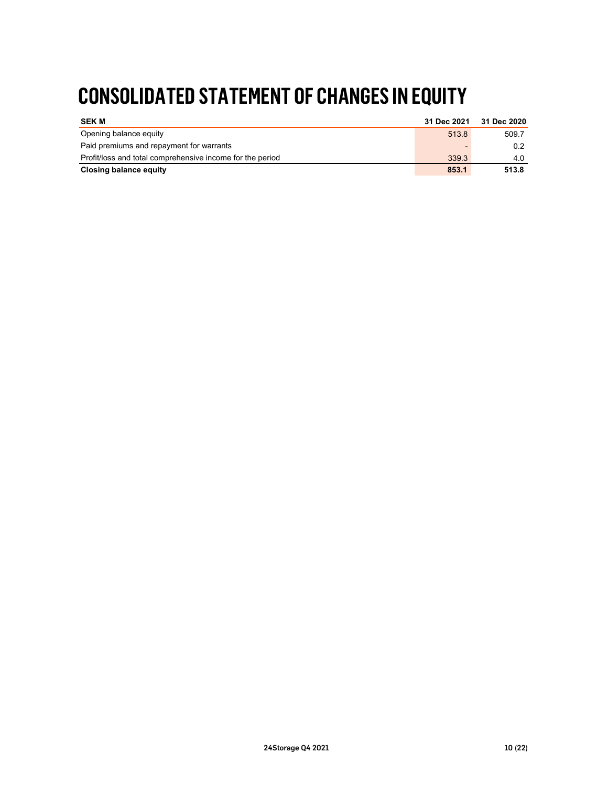### CONSOLIDATED STATEMENT OF CHANGES IN EQUITY

| <b>CONSOLIDATED STATEMENT OF CHANGES IN EQUITY</b>                                         |             |             |  |
|--------------------------------------------------------------------------------------------|-------------|-------------|--|
| <b>SEKM</b>                                                                                | 31 Dec 2021 | 31 Dec 2020 |  |
|                                                                                            |             | 509.7       |  |
| Opening balance equity                                                                     | 513.8       | 0.2         |  |
| Paid premiums and repayment for warrants                                                   | 339.3       | 4.0         |  |
| Profit/loss and total comprehensive income for the period<br><b>Closing balance equity</b> | 853.1       | 513.8       |  |
|                                                                                            |             |             |  |
|                                                                                            |             |             |  |
|                                                                                            |             |             |  |
|                                                                                            |             |             |  |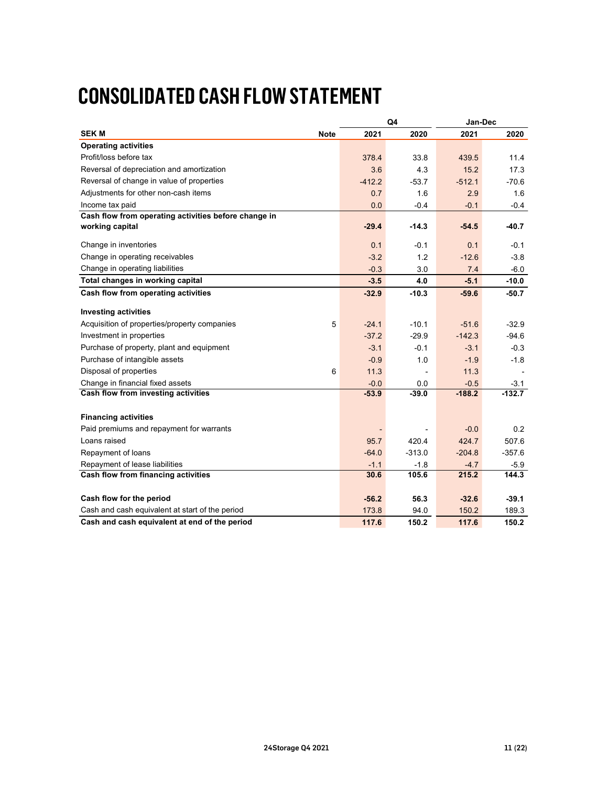### CONSOLIDATED CASH FLOW STATEMENT

| <b>CONSOLIDATED CASH FLOW STATEMENT</b>                                  |                     |                    |                          |                     |                    |
|--------------------------------------------------------------------------|---------------------|--------------------|--------------------------|---------------------|--------------------|
|                                                                          |                     |                    |                          |                     |                    |
|                                                                          |                     |                    |                          |                     |                    |
|                                                                          |                     |                    |                          |                     |                    |
|                                                                          |                     |                    |                          |                     |                    |
|                                                                          |                     |                    |                          |                     |                    |
|                                                                          |                     |                    |                          |                     |                    |
| <b>SEKM</b>                                                              | 2021<br><b>Note</b> |                    | ${\sf Q4}$<br>2020       | Jan-Dec<br>2021     | 2020               |
| <b>Operating activities</b>                                              |                     |                    |                          |                     |                    |
| Profit/loss before tax                                                   |                     | 378.4              | 33.8                     | 439.5               | 11.4               |
| Reversal of depreciation and amortization                                |                     | 3.6                | 4.3                      | 15.2                | 17.3               |
| Reversal of change in value of properties                                | $-412.2$            |                    | $-53.7$                  | $-512.1$            | $-70.6$            |
| Adjustments for other non-cash items                                     |                     | 0.7                | 1.6                      | 2.9                 | 1.6                |
| Income tax paid                                                          |                     | 0.0                | $-0.4$                   | $-0.1$              | $-0.4$             |
| Cash flow from operating activities before change in<br>working capital  |                     | $-29.4$            | $-14.3$                  | $-54.5$             | $-40.7$            |
|                                                                          |                     |                    |                          |                     |                    |
| Change in inventories                                                    |                     | 0.1                | $-0.1$                   | 0.1                 | $-0.1$             |
| Change in operating receivables<br>Change in operating liabilities       |                     | $-3.2$<br>$-0.3$   | 1.2<br>3.0               | $-12.6$<br>7.4      | $-3.8$<br>$-6.0$   |
| Total changes in working capital                                         |                     | $-3.5$             | 4.0                      | $-5.1$              | $-10.0$            |
| Cash flow from operating activities                                      |                     | $-32.9$            | $-10.3$                  | $-59.6$             | $-50.7$            |
|                                                                          |                     |                    |                          |                     |                    |
| <b>Investing activities</b>                                              |                     |                    |                          |                     |                    |
| Acquisition of properties/property companies<br>Investment in properties | 5                   | $-24.1$<br>$-37.2$ | $-10.1$<br>$-29.9$       | $-51.6$<br>$-142.3$ | $-32.9$<br>$-94.6$ |
| Purchase of property, plant and equipment                                |                     | $-3.1$             | $-0.1$                   | $-3.1$              | $-0.3$             |
| Purchase of intangible assets                                            |                     | $-0.9$             | 1.0                      | $-1.9$              | $-1.8$             |
| Disposal of properties                                                   | 6                   | 11.3               | $\overline{\phantom{a}}$ | 11.3                | $\blacksquare$     |
| Change in financial fixed assets                                         |                     | $-0.0$             | 0.0                      | $-0.5$              | $-3.1$             |
| Cash flow from investing activities                                      |                     | $-53.9$            | $-39.0$                  | $-188.2$            | $-132.7$           |
| <b>Financing activities</b>                                              |                     |                    |                          |                     |                    |
| Paid premiums and repayment for warrants                                 |                     | $\blacksquare$     | $\overline{\phantom{a}}$ | $-0.0$              | 0.2                |
| Loans raised                                                             |                     | 95.7               | 420.4                    | 424.7               | 507.6              |
| Repayment of loans                                                       |                     | $-64.0$            | $-313.0$                 | $-204.8$            | $-357.6$           |
| Repayment of lease liabilities                                           |                     | $-1.1$             | $-1.8$                   | $-4.7$              | $-5.9$             |
| Cash flow from financing activities                                      |                     | 30.6               | 105.6                    | 215.2               | 144.3              |
| Cash flow for the period                                                 |                     |                    | 56.3                     | $-32.6$             | $-39.1$            |
|                                                                          |                     | $-56.2$<br>173.8   | 94.0                     | 150.2               | 189.3              |
| Cash and cash equivalent at start of the period                          |                     | 117.6              |                          |                     |                    |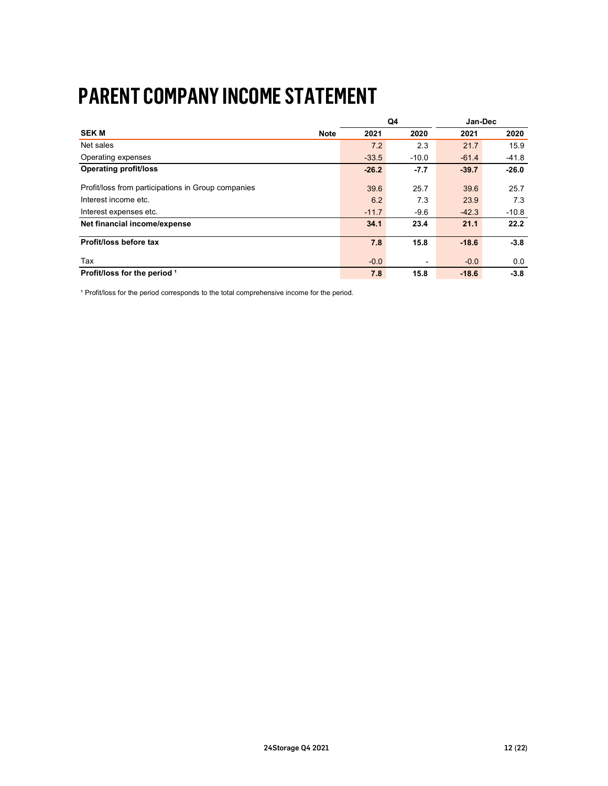### PARENT COMPANY INCOME STATEMENT

| <b>PARENT COMPANY INCOME STATEMENT</b>             |                     |               |         |                    |
|----------------------------------------------------|---------------------|---------------|---------|--------------------|
|                                                    |                     |               |         |                    |
|                                                    |                     |               |         |                    |
|                                                    |                     |               |         |                    |
|                                                    |                     | $\mathsf{Q4}$ |         | Jan-Dec            |
| <b>SEKM</b>                                        | <b>Note</b><br>2021 |               | 2020    | 2021<br>2020       |
| Net sales                                          | 7.2                 |               | 2.3     | 21.7<br>15.9       |
| Operating expenses                                 | $-33.5$             |               | $-10.0$ | $-61.4$<br>$-41.8$ |
| <b>Operating profit/loss</b>                       | $-26.2$             |               | $-7.7$  | $-26.0$<br>$-39.7$ |
|                                                    |                     |               |         |                    |
| Profit/loss from participations in Group companies | 39.6                |               | 25.7    | 39.6<br>25.7       |
| Interest income etc.                               | 6.2                 |               | 7.3     | 7.3<br>23.9        |
| Interest expenses etc.                             | $-11.7$             |               | $-9.6$  | $-42.3$<br>$-10.8$ |
| Net financial income/expense                       | 34.1                |               | 23.4    | 22.2<br>21.1       |
|                                                    |                     |               |         |                    |
| Profit/loss before tax                             | 7.8                 |               | 15.8    | $-3.8$<br>$-18.6$  |
| Tax                                                | $-0.0$              |               | $\sim$  | $-0.0$<br>0.0      |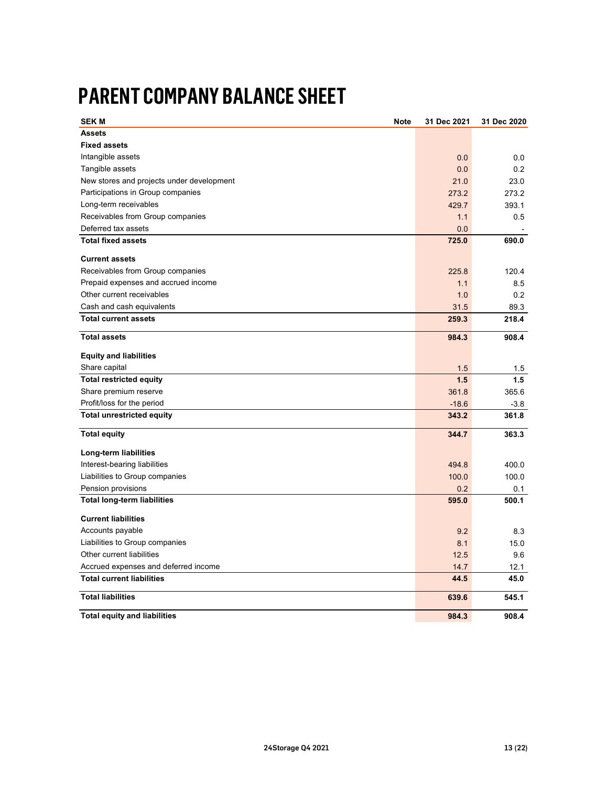### PARENT COMPANY BALANCE SHEET

| <b>PARENT COMPANY BALANCE SHEET</b>       |             |             |                          |
|-------------------------------------------|-------------|-------------|--------------------------|
|                                           |             |             |                          |
| <b>SEK M</b>                              | <b>Note</b> | 31 Dec 2021 | 31 Dec 2020              |
| <b>Assets</b>                             |             |             |                          |
| <b>Fixed assets</b>                       |             |             |                          |
| Intangible assets                         |             | 0.0         | 0.0                      |
| Tangible assets                           |             | 0.0         | $0.2\,$                  |
| New stores and projects under development |             | 21.0        | 23.0                     |
| Participations in Group companies         |             | 273.2       | 273.2                    |
| Long-term receivables                     |             | 429.7       | 393.1                    |
| Receivables from Group companies          |             | 1.1         | 0.5                      |
| Deferred tax assets                       |             | 0.0         | $\overline{\phantom{a}}$ |
| <b>Total fixed assets</b>                 |             | 725.0       | 690.0                    |
| <b>Current assets</b>                     |             |             |                          |
| Receivables from Group companies          |             | 225.8       | 120.4                    |
| Prepaid expenses and accrued income       |             | 1.1         | 8.5                      |
| Other current receivables                 |             | 1.0         | 0.2                      |
| Cash and cash equivalents                 |             | 31.5        | 89.3                     |
| <b>Total current assets</b>               |             | 259.3       | 218.4                    |
|                                           |             |             |                          |
| <b>Total assets</b>                       |             | 984.3       | 908.4                    |
| <b>Equity and liabilities</b>             |             |             |                          |
| Share capital                             |             | 1.5         | $1.5$                    |
| <b>Total restricted equity</b>            |             | $1.5$       | $1.5$                    |
| Share premium reserve                     |             | 361.8       | 365.6                    |
| Profit/loss for the period                |             | $-18.6$     | $-3.8$                   |
| <b>Total unrestricted equity</b>          |             | 343.2       | 361.8                    |
| <b>Total equity</b>                       |             | 344.7       | 363.3                    |
|                                           |             |             |                          |
| Long-term liabilities                     |             |             |                          |
| Interest-bearing liabilities              |             | 494.8       | 400.0                    |
| Liabilities to Group companies            |             | 100.0       | 100.0                    |
| Pension provisions                        |             | 0.2         | 0.1                      |
| <b>Total long-term liabilities</b>        |             | 595.0       | 500.1                    |
| <b>Current liabilities</b>                |             |             |                          |
| Accounts payable                          |             | 9.2         | $8.3\,$                  |
| Liabilities to Group companies            |             | 8.1         | 15.0                     |
| Other current liabilities                 |             | 12.5        | 9.6                      |
| Accrued expenses and deferred income      |             | 14.7        | 12.1                     |
| <b>Total current liabilities</b>          |             | 44.5        | 45.0                     |
| <b>Total liabilities</b>                  |             | 639.6       | 545.1                    |
|                                           |             |             |                          |
| <b>Total equity and liabilities</b>       |             | 984.3       | 908.4                    |
|                                           |             |             |                          |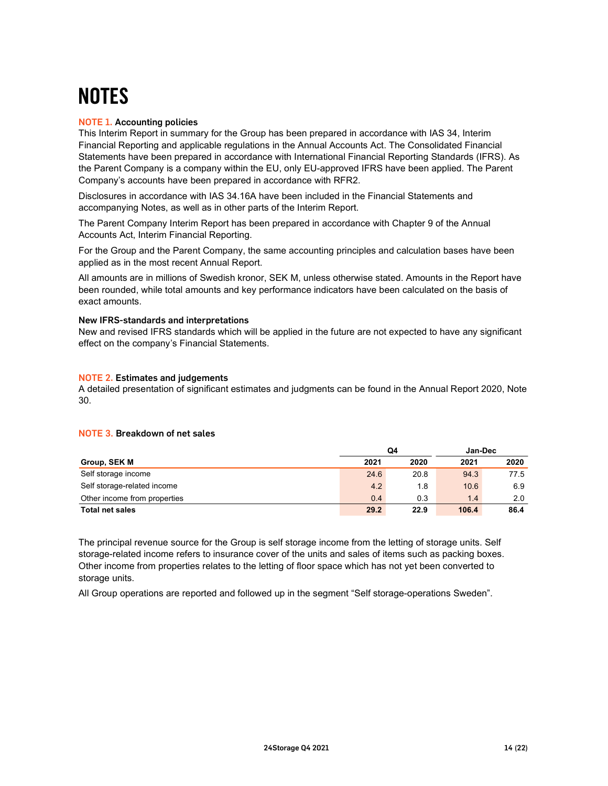### **NOTES**

#### NOTE 1. Accounting policies

This Interim Report in summary for the Group has been prepared in accordance with IAS 34, Interim Financial Reporting and applicable regulations in the Annual Accounts Act. The Consolidated Financial Statements have been prepared in accordance with International Financial Reporting Standards (IFRS). As the Parent Company is a company within the EU, only EU-approved IFRS have been applied. The Parent Company's accounts have been prepared in accordance with RFR2.

#### New IFRS-standards and interpretations

#### NOTE 2. Estimates and judgements

#### NOTE 3. Breakdown of net sales

| 0.4  | 0.3                                                                                         | 1.4                       | 2.0                                                                                                                                                                                                                    |                                                                                                                                                                                                                                                                                                                                                                                                                                                                                                                                                                                            |
|------|---------------------------------------------------------------------------------------------|---------------------------|------------------------------------------------------------------------------------------------------------------------------------------------------------------------------------------------------------------------|--------------------------------------------------------------------------------------------------------------------------------------------------------------------------------------------------------------------------------------------------------------------------------------------------------------------------------------------------------------------------------------------------------------------------------------------------------------------------------------------------------------------------------------------------------------------------------------------|
| 29.2 | 22.9                                                                                        | 106.4                     | 86.4                                                                                                                                                                                                                   |                                                                                                                                                                                                                                                                                                                                                                                                                                                                                                                                                                                            |
|      |                                                                                             |                           |                                                                                                                                                                                                                        |                                                                                                                                                                                                                                                                                                                                                                                                                                                                                                                                                                                            |
|      | accompanying Notes, as well as in other parts of the Interim Report.<br>2021<br>24.6<br>4.2 | Q4<br>2020<br>20.8<br>1.8 | Disclosures in accordance with IAS 34.16A have been included in the Financial Statements and<br>The Parent Company Interim Report has been prepared in accordance with Chapter 9 of the Annual<br>2021<br>94.3<br>10.6 | For the Group and the Parent Company, the same accounting principles and calculation bases have been<br>All amounts are in millions of Swedish kronor, SEK M, unless otherwise stated. Amounts in the Report have<br>been rounded, while total amounts and key performance indicators have been calculated on the basis of<br>New and revised IFRS standards which will be applied in the future are not expected to have any significant<br>A detailed presentation of significant estimates and judgments can be found in the Annual Report 2020, Note<br>Jan-Dec<br>2020<br>77.5<br>6.9 |

The principal revenue source for the Group is self storage income from the letting of storage units. Self storage-related income refers to insurance cover of the units and sales of items such as packing boxes. Other income from properties relates to the letting of floor space which has not yet been converted to storage units.

All Group operations are reported and followed up in the segment "Self storage-operations Sweden".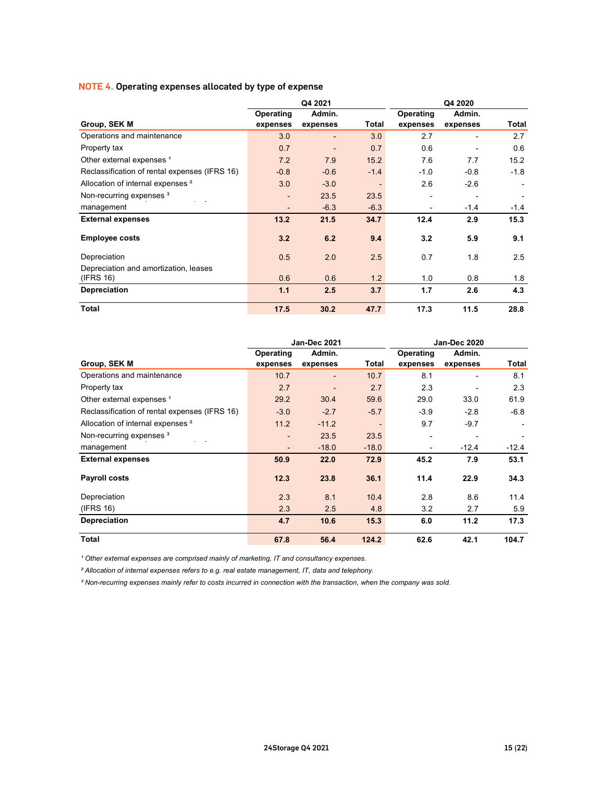#### NOTE 4. Operating expenses allocated by type of expense

| NOTE 4. Operating expenses allocated by type of expense           |                          |                                  |                   |                |                          |                          |
|-------------------------------------------------------------------|--------------------------|----------------------------------|-------------------|----------------|--------------------------|--------------------------|
|                                                                   |                          | Q4 2021                          |                   |                | Q4 2020                  |                          |
|                                                                   | Operating                | Admin.                           |                   | Operating      | Admin.                   |                          |
| Group, SEK M                                                      | expenses                 | expenses                         | <b>Total</b>      | expenses       | expenses                 | <b>Total</b>             |
| Operations and maintenance                                        | 3.0                      | $\overline{\phantom{a}}$         | 3.0               | 2.7            | $\overline{\phantom{a}}$ | 2.7                      |
| Property tax                                                      | 0.7                      | $\overline{\phantom{a}}$         | 0.7               | 0.6            | $\sim$                   | 0.6                      |
| Other external expenses <sup>1</sup>                              | 7.2                      | 7.9                              | 15.2              | 7.6            | 7.7                      | 15.2                     |
| Reclassification of rental expenses (IFRS 16)                     | $-0.8$                   | $-0.6$                           | $-1.4$            | $-1.0$         | $-0.8$                   | $-1.8$                   |
| Allocation of internal expenses <sup>2</sup>                      | 3.0                      | $-3.0$                           | $\sim$            | 2.6            | $-2.6$                   | $\overline{\phantom{a}}$ |
| Non-recurring expenses <sup>3</sup><br>$\mathbf{r} = -\mathbf{r}$ | $\overline{\phantom{a}}$ | 23.5                             | 23.5              | $\overline{a}$ | $\blacksquare$           | $\overline{\phantom{a}}$ |
| management                                                        | $\overline{\phantom{a}}$ | $-6.3$                           | $-6.3$            | $\sim$         | $-1.4$                   | $-1.4$                   |
| <b>External expenses</b>                                          | 13.2                     | 21.5                             | 34.7              | 12.4           | 2.9                      | 15.3                     |
| <b>Employee costs</b>                                             | 3.2                      | 6.2                              | 9.4               | 3.2            | 5.9                      | 9.1                      |
| Depreciation                                                      |                          |                                  |                   |                |                          |                          |
| Depreciation and amortization, leases                             | 0.5                      | 2.0                              | 2.5               | 0.7            | 1.8                      | 2.5                      |
| (IFRS 16)                                                         | 0.6                      | 0.6                              | 1.2               | 1.0            | 0.8                      | 1.8                      |
| Depreciation                                                      | $1.1$                    | 2.5                              | 3.7               | 1.7            | 2.6                      | 4.3                      |
| <b>Total</b>                                                      | 17.5                     | 30.2                             | 47.7              | 17.3           | 11.5                     | 28.8                     |
|                                                                   |                          |                                  |                   |                |                          |                          |
|                                                                   |                          |                                  |                   |                |                          |                          |
|                                                                   |                          | Jan-Dec 2021                     |                   |                | Jan-Dec 2020             |                          |
|                                                                   | Operating                | Admin.                           |                   | Operating      | Admin.                   |                          |
| Group, SEK M<br>Operations and maintenance                        | expenses                 | expenses                         | <b>Total</b>      | expenses       | expenses                 | <b>Total</b>             |
| Property tax                                                      | 10.7<br>2.7              | $\blacksquare$<br>$\blacksquare$ | $10.7$<br>$2.7\,$ | 8.1<br>$2.3\,$ | $\sim$<br>$\blacksquare$ | 8.1<br>$2.3\,$           |
| Other external expenses <sup>1</sup>                              | 29.2                     | 30.4                             | 59.6              | 29.0           | 33.0                     | 61.9                     |
| Reclassification of rental expenses (IFRS 16)                     | $-3.0$                   | $-2.7$                           | $-5.7$            | $-3.9$         | $-2.8$                   | $-6.8$                   |
| Allocation of internal expenses <sup>2</sup>                      | 11.2                     | $-11.2$                          | $\sim$            | 9.7            | $-9.7$                   | $\overline{a}$           |
| Non-recurring expenses <sup>3</sup>                               | $\overline{\phantom{a}}$ | 23.5                             | 23.5              | $\blacksquare$ | $\blacksquare$           | $\overline{\phantom{a}}$ |
| $\mathcal{L}^{\text{max}}$<br>management                          | $\blacksquare$           | $-18.0$                          | $-18.0$           | $\blacksquare$ | $-12.4$                  | $-12.4$                  |
| <b>External expenses</b>                                          | 50.9                     | 22.0                             | 72.9              | 45.2           | 7.9                      | 53.1                     |
| Payroll costs                                                     | 12.3                     | 23.8                             | 36.1              | 11.4           | 22.9                     | 34.3                     |
|                                                                   |                          |                                  |                   |                |                          |                          |

| Allocation of internal expenses <sup>2</sup><br>Non-recurring expenses <sup>3</sup><br>management | 3.0                      | $-3.0$                   |              |                          |                |              |
|---------------------------------------------------------------------------------------------------|--------------------------|--------------------------|--------------|--------------------------|----------------|--------------|
|                                                                                                   |                          |                          | $\sim$       | 2.6                      | $-2.6$         |              |
|                                                                                                   |                          | 23.5                     | 23.5         |                          |                |              |
|                                                                                                   | $\overline{\phantom{m}}$ | $-6.3$                   | $-6.3$       | $\overline{\phantom{a}}$ | $-1.4$         | $-1.4$       |
| <b>External expenses</b>                                                                          | 13.2                     | 21.5                     | 34.7         | 12.4                     | 2.9            | 15.3         |
| <b>Employee costs</b>                                                                             | 3.2                      | 6.2                      | 9.4          | 3.2                      | 5.9            | 9.1          |
| Depreciation                                                                                      | 0.5                      | 2.0                      | 2.5          | 0.7                      | 1.8            | 2.5          |
| Depreciation and amortization, leases                                                             |                          |                          |              |                          |                |              |
| (IFRS 16)                                                                                         | 0.6                      | 0.6                      | $1.2$        | $1.0$                    | 0.8            | 1.8          |
| Depreciation                                                                                      | $1.1$                    | 2.5                      | 3.7          | $1.7$                    | 2.6            | 4.3          |
| <b>Total</b>                                                                                      | 17.5                     | 30.2                     | 47.7         | 17.3                     | 11.5           | 28.8         |
|                                                                                                   |                          |                          |              |                          |                |              |
|                                                                                                   |                          | Jan-Dec 2021             |              |                          | Jan-Dec 2020   |              |
|                                                                                                   | Operating                | Admin.                   |              | Operating                | Admin.         |              |
| Group, SEK M                                                                                      | expenses                 | expenses                 | <b>Total</b> | expenses                 | expenses       | <b>Total</b> |
| Operations and maintenance                                                                        | 10.7                     | $\overline{\phantom{0}}$ | 10.7         | 8.1                      |                | 8.1          |
| Property tax                                                                                      | 2.7                      |                          | 2.7          | 2.3                      |                | 2.3          |
| Other external expenses <sup>1</sup>                                                              | 29.2                     | 30.4                     | 59.6         | 29.0                     | 33.0           | 61.9         |
| Reclassification of rental expenses (IFRS 16)                                                     | $-3.0$                   | $-2.7$                   | $-5.7$       | $-3.9$                   | $-2.8$         | $-6.8$       |
| Allocation of internal expenses <sup>2</sup>                                                      | 11.2                     | $-11.2$                  |              | 9.7                      | $-9.7$         |              |
| Non-recurring expenses <sup>3</sup>                                                               | $\overline{a}$           | 23.5                     | 23.5         | $\overline{\phantom{a}}$ | $\overline{a}$ |              |
| management                                                                                        |                          | $-18.0$                  | $-18.0$      | $\overline{\phantom{a}}$ | $-12.4$        | $-12.4$      |
| <b>External expenses</b>                                                                          | 50.9                     | 22.0                     | 72.9         | 45.2                     | 7.9            | 53.1         |
| <b>Payroll costs</b>                                                                              | 12.3                     | 23.8                     | 36.1         | 11.4                     | 22.9           | 34.3         |
| Depreciation                                                                                      | 2.3                      | 8.1                      | 10.4         | 2.8                      | $8.6\,$        | 11.4         |
| (IFRS 16)                                                                                         | 2.3                      | 2.5                      | 4.8          | 3.2                      | 2.7            | 5.9          |
| Depreciation                                                                                      | 4.7                      | 10.6                     | 15.3         | 6.0                      | 11.2           | 17.3         |
|                                                                                                   |                          | 56.4                     | 124.2        | 62.6                     | 42.1           | 104.7        |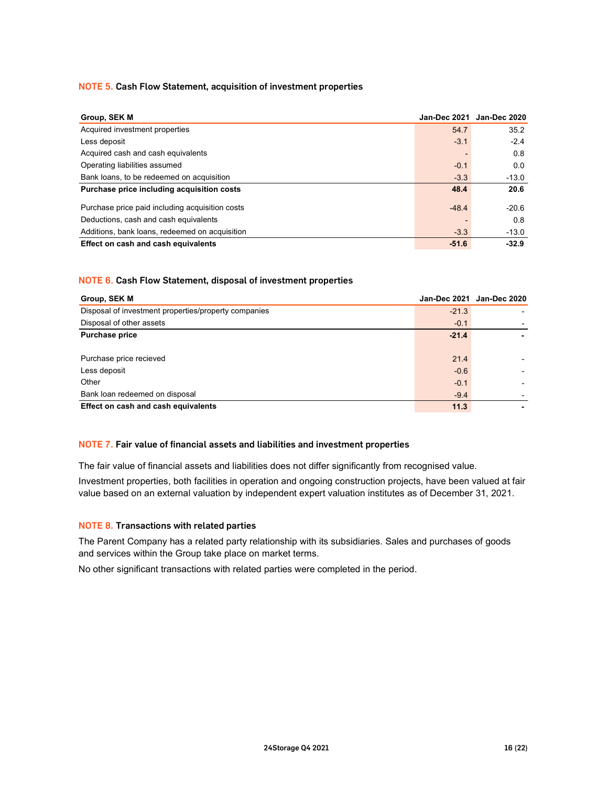#### NOTE 5. Cash Flow Statement, acquisition of investment properties

| <b>NOTE 5. Cash Flow Statement, acquisition of investment properties</b> |                |                           |
|--------------------------------------------------------------------------|----------------|---------------------------|
|                                                                          |                |                           |
| Group, SEK M                                                             |                | Jan-Dec 2021 Jan-Dec 2020 |
| Acquired investment properties                                           | 54.7           | 35.2                      |
| Less deposit                                                             | $-3.1$         | $-2.4$                    |
| Acquired cash and cash equivalents                                       |                | 0.8                       |
| Operating liabilities assumed                                            | $-0.1$         | 0.0                       |
| Bank loans, to be redeemed on acquisition                                | $-3.3$         | $-13.0$                   |
| Purchase price including acquisition costs                               | 48.4           | 20.6                      |
|                                                                          |                |                           |
| Purchase price paid including acquisition costs                          | $-48.4$        | $-20.6$                   |
| Deductions, cash and cash equivalents                                    |                | 0.8                       |
|                                                                          |                |                           |
| Additions, bank loans, redeemed on acquisition                           | $-3.3$         | $-13.0$                   |
| Effect on cash and cash equivalents                                      | $-51.6$        | $-32.9$                   |
|                                                                          |                |                           |
|                                                                          |                |                           |
| NOTE 6. Cash Flow Statement, disposal of investment properties           |                |                           |
|                                                                          |                |                           |
| Group, SEK M                                                             |                | Jan-Dec 2021 Jan-Dec 2020 |
| Disposal of investment properties/property companies                     | $-21.3$        |                           |
| Disposal of other assets                                                 | $-0.1$         |                           |
| <b>Purchase price</b>                                                    | $-21.4$        |                           |
|                                                                          |                |                           |
| Purchase price recieved                                                  | 21.4           |                           |
| Less deposit                                                             | $-0.6$         |                           |
| Other                                                                    | $-0.1$         |                           |
| Bank loan redeemed on disposal<br>Effect on cash and cash equivalents    | $-9.4$<br>11.3 |                           |

#### NOTE 6. Cash Flow Statement, disposal of investment properties

| Less deposit                                                                                            | $-3.1$  | $-2.4$                    |
|---------------------------------------------------------------------------------------------------------|---------|---------------------------|
| Acquired cash and cash equivalents                                                                      |         | 0.8                       |
| Operating liabilities assumed                                                                           | $-0.1$  | 0.0                       |
| Bank loans, to be redeemed on acquisition                                                               | $-3.3$  | $-13.0$                   |
| Purchase price including acquisition costs                                                              | 48.4    | 20.6                      |
| Purchase price paid including acquisition costs                                                         | $-48.4$ | $-20.6$                   |
| Deductions, cash and cash equivalents                                                                   |         | 0.8                       |
| Additions, bank loans, redeemed on acquisition                                                          | $-3.3$  | $-13.0$                   |
| Effect on cash and cash equivalents                                                                     | $-51.6$ | $-32.9$                   |
|                                                                                                         |         |                           |
|                                                                                                         |         |                           |
| <b>NOTE 6. Cash Flow Statement, disposal of investment properties</b>                                   |         |                           |
| Group, SEK M                                                                                            |         | Jan-Dec 2021 Jan-Dec 2020 |
| Disposal of investment properties/property companies                                                    | $-21.3$ |                           |
| Disposal of other assets                                                                                | $-0.1$  |                           |
| <b>Purchase price</b>                                                                                   | $-21.4$ |                           |
|                                                                                                         |         |                           |
|                                                                                                         |         |                           |
| Purchase price recieved                                                                                 | 21.4    |                           |
| Less deposit                                                                                            | $-0.6$  |                           |
| Other                                                                                                   | $-0.1$  |                           |
| Bank loan redeemed on disposal                                                                          | $-9.4$  |                           |
| Effect on cash and cash equivalents                                                                     | 11.3    |                           |
|                                                                                                         |         |                           |
|                                                                                                         |         |                           |
| NOTE 7. Fair value of financial assets and liabilities and investment properties                        |         |                           |
| The fair value of financial assets and liabilities does not differ significantly from recognised value. |         |                           |

#### NOTE 7. Fair value of financial assets and liabilities and investment properties

Investment properties, both facilities in operation and ongoing construction projects, have been valued at fair value based on an external valuation by independent expert valuation institutes as of December 31, 2021.

#### NOTE 8. Transactions with related parties

The Parent Company has a related party relationship with its subsidiaries. Sales and purchases of goods and services within the Group take place on market terms.

No other significant transactions with related parties were completed in the period.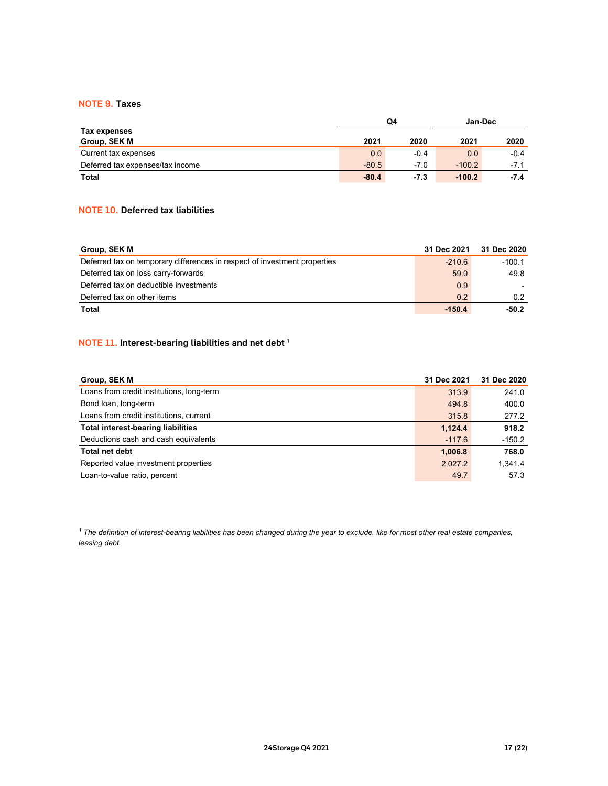#### NOTE 9. Taxes

| <b>NOTE 9. Taxes</b>                     |            |        |          |        |
|------------------------------------------|------------|--------|----------|--------|
|                                          |            |        |          |        |
| Tax expenses                             | ${\bf Q4}$ |        | Jan-Dec  |        |
| Group, SEK M                             | 2021       | 2020   | 2021     | 2020   |
| Current tax expenses                     | 0.0        | $-0.4$ | 0.0      | $-0.4$ |
| Deferred tax expenses/tax income         | $-80.5$    | $-7.0$ | $-100.2$ | $-7.1$ |
| <b>Total</b>                             | $-80.4$    | $-7.3$ | $-100.2$ | $-7.4$ |
|                                          |            |        |          |        |
|                                          |            |        |          |        |
| <b>NOTE 10. Deferred tax liabilities</b> |            |        |          |        |
|                                          |            |        |          |        |

#### NOTE 10. Deferred tax liabilities

| <b>NOTE 9. Taxes</b>                                                      |         |               |                |                          |  |
|---------------------------------------------------------------------------|---------|---------------|----------------|--------------------------|--|
|                                                                           |         | $\mathsf{Q4}$ | Jan-Dec        |                          |  |
| Tax expenses                                                              |         |               |                |                          |  |
| Group, SEK M                                                              | 2021    | 2020          | 2021           | 2020                     |  |
| Current tax expenses                                                      | 0.0     | $-0.4$        | 0.0            | $-0.4$                   |  |
| Deferred tax expenses/tax income                                          | $-80.5$ | $-7.0$        | $-100.2$       | $-7.1$                   |  |
| <b>Total</b>                                                              | $-80.4$ | $-7.3$        | $-100.2$       | $-7.4$                   |  |
| <b>NOTE 10. Deferred tax liabilities</b>                                  |         |               |                |                          |  |
| Group, SEK M                                                              |         |               | 31 Dec 2021    | 31 Dec 2020              |  |
| Deferred tax on temporary differences in respect of investment properties |         |               | $-210.6$       | $-100.1$                 |  |
| Deferred tax on loss carry-forwards                                       |         |               | 59.0           | 49.8                     |  |
| Deferred tax on deductible investments                                    |         |               | 0.9            | $\overline{\phantom{a}}$ |  |
| Deferred tax on other items                                               |         |               | 0.2            | $0.2\,$                  |  |
| <b>Total</b>                                                              |         |               | $-150.4$       | $-50.2$                  |  |
|                                                                           |         |               |                |                          |  |
| NOTE 11. Interest-bearing liabilities and net debt <sup>1</sup>           |         |               |                |                          |  |
|                                                                           |         |               |                |                          |  |
|                                                                           |         |               | 31 Dec 2021    |                          |  |
| Group, SEK M                                                              |         |               |                | 31 Dec 2020              |  |
| Loans from credit institutions, long-term                                 |         |               | 313.9          | 241.0                    |  |
| Bond loan, long-term<br>Loans from credit institutions, current           |         |               | 494.8<br>315.8 | 400.0                    |  |
| <b>Total interest-bearing liabilities</b>                                 |         |               | 1,124.4        | 277.2<br>918.2           |  |

#### NOTE 11. Interest-bearing liabilities and net debt  $^1$

| Group, SEK M                                                                                                   | 2021    | 2020   | 2021            | 2020            |
|----------------------------------------------------------------------------------------------------------------|---------|--------|-----------------|-----------------|
| Current tax expenses                                                                                           | 0.0     | $-0.4$ | 0.0             | $-0.4$          |
| Deferred tax expenses/tax income                                                                               | $-80.5$ | $-7.0$ | $-100.2$        | $-7.1$          |
| <b>Total</b>                                                                                                   | $-80.4$ | $-7.3$ | $-100.2$        | $-7.4$          |
|                                                                                                                |         |        |                 |                 |
| <b>NOTE 10. Deferred tax liabilities</b>                                                                       |         |        |                 |                 |
|                                                                                                                |         |        |                 |                 |
| Group, SEK M                                                                                                   |         |        | 31 Dec 2021     | 31 Dec 2020     |
| Deferred tax on temporary differences in respect of investment properties                                      |         |        | $-210.6$        | $-100.1$        |
| Deferred tax on loss carry-forwards                                                                            |         |        | 59.0            | 49.8            |
|                                                                                                                |         |        | 0.9             |                 |
|                                                                                                                |         |        |                 |                 |
| Deferred tax on deductible investments                                                                         |         |        |                 |                 |
| Deferred tax on other items<br><b>Total</b><br>NOTE 11. Interest-bearing liabilities and net debt <sup>1</sup> |         |        | 0.2<br>$-150.4$ | 0.2<br>$-50.2$  |
|                                                                                                                |         |        |                 |                 |
| Group, SEK M                                                                                                   |         |        | 31 Dec 2021     | 31 Dec 2020     |
| Loans from credit institutions, long-term                                                                      |         |        | 313.9           | 241.0           |
| Bond loan, long-term                                                                                           |         |        | 494.8           | 400.0           |
| Loans from credit institutions, current                                                                        |         |        | 315.8           | 277.2           |
| <b>Total interest-bearing liabilities</b>                                                                      |         |        | 1,124.4         | 918.2           |
| Deductions cash and cash equivalents                                                                           |         |        | $-117.6$        | $-150.2$        |
| <b>Total net debt</b>                                                                                          |         |        | 1,006.8         | 768.0           |
| Reported value investment properties<br>Loan-to-value ratio, percent                                           |         |        | 2,027.2<br>49.7 | 1,341.4<br>57.3 |

 $1$  The definition of interest-bearing liabilities has been changed during the year to exclude, like for most other real estate companies, leasing debt.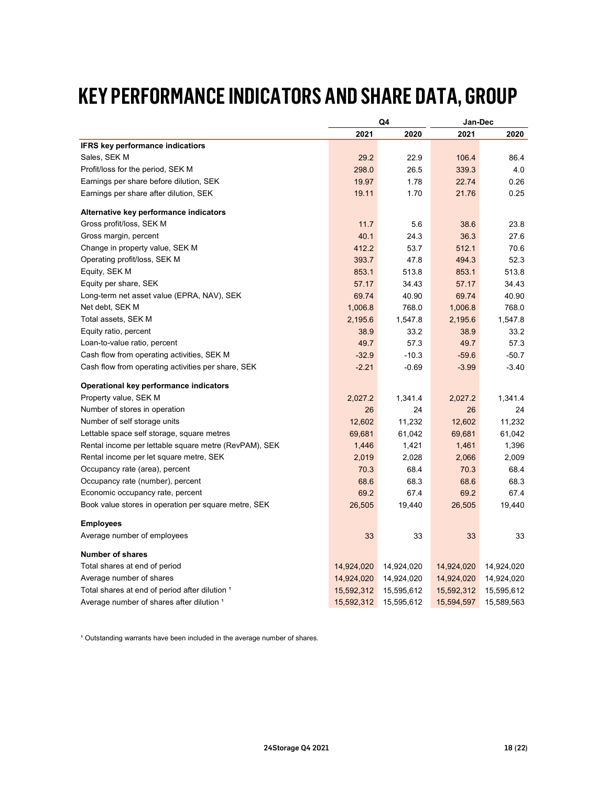### KEY PERFORMANCE INDICATORS AND SHARE DATA, GROUP

| <b>KEY PERFORMANCE INDICATORS AND SHARE DATA, GROUP</b> |            |                       |                       |                       |
|---------------------------------------------------------|------------|-----------------------|-----------------------|-----------------------|
|                                                         |            | Q4                    | Jan-Dec               |                       |
|                                                         | 2021       | 2020                  | 2021                  | 2020                  |
| <b>IFRS key performance indicatiors</b>                 |            |                       |                       |                       |
| Sales, SEK M                                            | 29.2       | 22.9                  | 106.4                 | 86.4                  |
| Profit/loss for the period, SEK M                       | 298.0      | 26.5                  | 339.3                 | 4.0                   |
| Earnings per share before dilution, SEK                 | 19.97      | 1.78                  | 22.74                 | 0.26                  |
| Earnings per share after dilution, SEK                  | 19.11      | 1.70                  | 21.76                 | 0.25                  |
|                                                         |            |                       |                       |                       |
| Alternative key performance indicators                  |            |                       |                       |                       |
| Gross profit/loss, SEK M                                | 11.7       | 5.6                   | 38.6                  | 23.8                  |
| Gross margin, percent                                   | 40.1       | 24.3                  | 36.3                  | 27.6                  |
| Change in property value, SEK M                         | 412.2      | 53.7                  | 512.1                 | 70.6                  |
| Operating profit/loss, SEK M                            | 393.7      | 47.8                  | 494.3                 | 52.3                  |
| Equity, SEK M                                           | 853.1      | 513.8                 | 853.1                 | 513.8                 |
| Equity per share, SEK                                   | 57.17      | 34.43                 | 57.17                 | 34.43                 |
| Long-term net asset value (EPRA, NAV), SEK              |            |                       |                       |                       |
|                                                         | 69.74      | 40.90                 | 69.74                 | 40.90                 |
| Net debt, SEK M                                         | 1,006.8    | 768.0                 | 1,006.8               | 768.0                 |
| Total assets, SEK M                                     | 2,195.6    | 1,547.8               | 2,195.6               | 1,547.8               |
| Equity ratio, percent                                   | 38.9       | 33.2                  | 38.9                  | 33.2                  |
| Loan-to-value ratio, percent                            | 49.7       | 57.3                  | 49.7                  | 57.3                  |
| Cash flow from operating activities, SEK M              | $-32.9$    | $-10.3$               | $-59.6$               | $-50.7$               |
| Cash flow from operating activities per share, SEK      | $-2.21$    | $-0.69$               | $-3.99$               | $-3.40$               |
|                                                         |            |                       |                       |                       |
| Operational key performance indicators                  |            |                       |                       |                       |
| Property value, SEK M                                   | 2,027.2    | 1,341.4               | 2,027.2               | 1,341.4               |
| Number of stores in operation                           | 26         | 24                    | 26                    | 24                    |
| Number of self storage units                            | 12,602     | 11,232                | 12,602                | 11,232                |
| Lettable space self storage, square metres              | 69,681     | 61,042                | 69,681                | 61,042                |
| Rental income per lettable square metre (RevPAM), SEK   | 1,446      | 1,421                 | 1,461                 | 1,396                 |
| Rental income per let square metre, SEK                 | 2,019      | 2,028                 | 2,066                 | 2,009                 |
| Occupancy rate (area), percent                          | 70.3       | 68.4                  | 70.3                  | 68.4                  |
| Occupancy rate (number), percent                        | 68.6       | 68.3                  | 68.6                  | 68.3                  |
| Economic occupancy rate, percent                        | 69.2       | 67.4                  | 69.2                  | 67.4                  |
| Book value stores in operation per square metre, SEK    | 26,505     | 19,440                | 26,505                | 19,440                |
|                                                         |            |                       |                       |                       |
| <b>Employees</b>                                        |            |                       |                       |                       |
| Average number of employees                             | 33         | 33                    | 33                    | 33                    |
|                                                         |            |                       |                       |                       |
| <b>Number of shares</b>                                 |            |                       |                       |                       |
| Total shares at end of period                           |            | 14,924,020 14,924,020 |                       | 14,924,020 14,924,020 |
| Average number of shares                                | 14,924,020 | 14,924,020            | 14,924,020            | 14,924,020            |
|                                                         |            | 15,592,312 15,595,612 | 15,592,312 15,595,612 |                       |
| Total shares at end of period after dilution 1          |            |                       |                       |                       |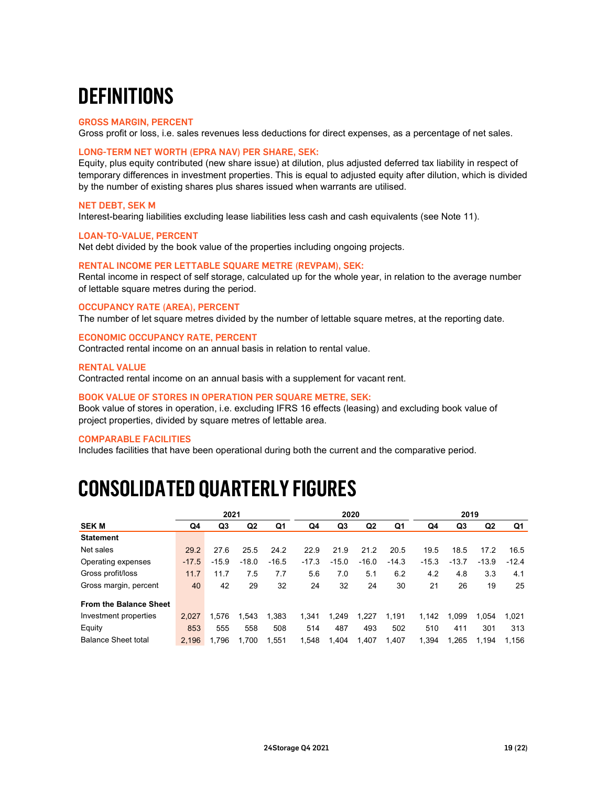### **DEFINITIONS**

#### GROSS MARGIN, PERCENT

Gross profit or loss, i.e. sales revenues less deductions for direct expenses, as a percentage of net sales.

#### LONG-TERM NET WORTH (EPRA NAV) PER SHARE, SEK:

Equity, plus equity contributed (new share issue) at dilution, plus adjusted deferred tax liability in respect of temporary differences in investment properties. This is equal to adjusted equity after dilution, which is divided by the number of existing shares plus shares issued when warrants are utilised.

#### NET DEBT, SEK M

Interest-bearing liabilities excluding lease liabilities less cash and cash equivalents (see Note 11).

#### LOAN-TO-VALUE, PERCENT

Net debt divided by the book value of the properties including ongoing projects.

#### RENTAL INCOME PER LETTABLE SQUARE METRE (REVPAM), SEK:

#### OCCUPANCY RATE (AREA), PERCENT

#### ECONOMIC OCCUPANCY RATE, PERCENT

#### RENTAL VALUE

#### BOOK VALUE OF STORES IN OPERATION PER SQUARE METRE, SEK:

#### COMPARABLE FACILITIES

### CONSOLIDATED QUARTERLY FIGURES

| Rental income in respect of self storage, calculated up for the whole year, in relation to the average number<br>of lettable square metres during the period.                                                                         |         |         |         |         |         |         |                |         |             |         |                |         |
|---------------------------------------------------------------------------------------------------------------------------------------------------------------------------------------------------------------------------------------|---------|---------|---------|---------|---------|---------|----------------|---------|-------------|---------|----------------|---------|
| <b>OCCUPANCY RATE (AREA), PERCENT</b><br>The number of let square metres divided by the number of lettable square metres, at the reporting date.                                                                                      |         |         |         |         |         |         |                |         |             |         |                |         |
| <b>ECONOMIC OCCUPANCY RATE, PERCENT</b><br>Contracted rental income on an annual basis in relation to rental value.                                                                                                                   |         |         |         |         |         |         |                |         |             |         |                |         |
| <b>RENTAL VALUE</b><br>Contracted rental income on an annual basis with a supplement for vacant rent.                                                                                                                                 |         |         |         |         |         |         |                |         |             |         |                |         |
| BOOK VALUE OF STORES IN OPERATION PER SQUARE METRE, SEK:<br>Book value of stores in operation, i.e. excluding IFRS 16 effects (leasing) and excluding book value of<br>project properties, divided by square metres of lettable area. |         |         |         |         |         |         |                |         |             |         |                |         |
|                                                                                                                                                                                                                                       |         |         |         |         |         |         |                |         |             |         |                |         |
|                                                                                                                                                                                                                                       |         |         |         |         |         |         |                |         |             |         |                |         |
|                                                                                                                                                                                                                                       |         |         |         |         |         |         |                |         |             |         |                |         |
| <b>COMPARABLE FACILITIES</b><br>Includes facilities that have been operational during both the current and the comparative period.                                                                                                    |         |         |         |         |         |         |                |         |             |         |                |         |
| CONSOLIDATED QUARTERLY FIGURES                                                                                                                                                                                                        |         |         |         |         |         |         |                |         |             |         |                |         |
|                                                                                                                                                                                                                                       |         | 2021    |         |         |         | 2020    |                |         |             | 2019    |                |         |
| <b>SEKM</b>                                                                                                                                                                                                                           | Q4      | Q3      | Q2      | Q1      | Q4      | Q3      | Q <sub>2</sub> | Q1      | Q4          | Q3      | Q <sub>2</sub> | Q1      |
| <b>Statement</b>                                                                                                                                                                                                                      |         |         |         |         |         |         |                |         |             |         |                |         |
| Net sales                                                                                                                                                                                                                             | 29.2    | 27.6    | 25.5    | 24.2    | 22.9    | 21.9    | 21.2           | 20.5    | 19.5        | 18.5    | 17.2           | 16.5    |
| Operating expenses                                                                                                                                                                                                                    | $-17.5$ | $-15.9$ | $-18.0$ | $-16.5$ | $-17.3$ | $-15.0$ | $-16.0$        | $-14.3$ | $-15.3$     | $-13.7$ | $-13.9$        | $-12.4$ |
| Gross profit/loss                                                                                                                                                                                                                     | 11.7    | 11.7    | 7.5     | 7.7     | 5.6     | 7.0     | 5.1            | 6.2     | 4.2         | 4.8     | 3.3            | 4.1     |
| Gross margin, percent                                                                                                                                                                                                                 | 40      | 42      | 29      | 32      | 24      | 32      | 24             | 30      | 21          | 26      | 19             | 25      |
| <b>From the Balance Sheet</b>                                                                                                                                                                                                         |         |         |         |         |         |         |                |         |             |         |                |         |
| Investment properties                                                                                                                                                                                                                 | 2,027   | 1,576   | 1,543   | 1,383   | 1,341   | 1,249   | 1,227          | 1,191   | 1,142 1,099 |         | 1,054          | 1,021   |
| Equity                                                                                                                                                                                                                                | 853     | 555     | 558     | 508     | 514     | 487     | 493            | 502     | 510         | 411     | 301            | 313     |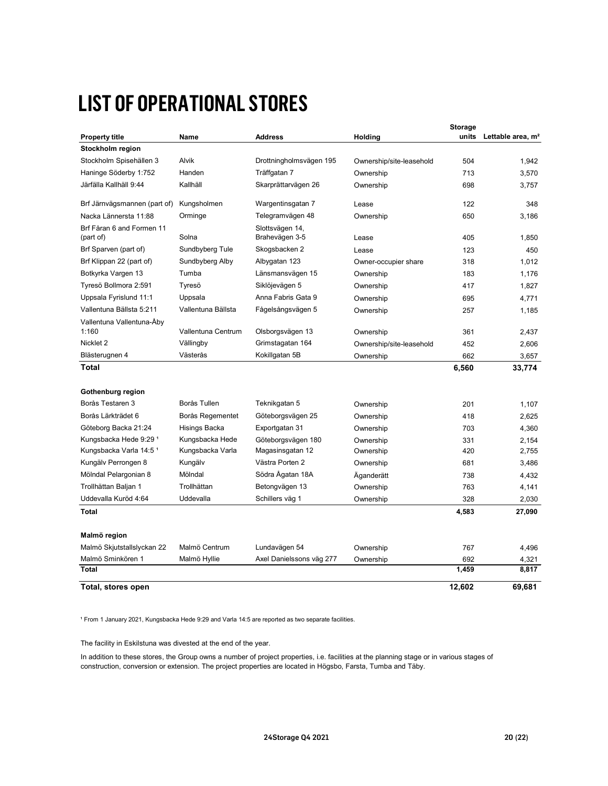### LIST OF OPERATIONAL STORES

| <b>LIST OF OPERATIONAL STORES</b>           |                    |                          |                          |                |                                     |
|---------------------------------------------|--------------------|--------------------------|--------------------------|----------------|-------------------------------------|
|                                             |                    |                          |                          |                |                                     |
|                                             |                    |                          |                          | <b>Storage</b> |                                     |
| <b>Property title</b>                       | Name               | <b>Address</b>           | Holding                  |                | units Lettable area, m <sup>2</sup> |
| Stockholm region<br>Stockholm Spisehällen 3 | Alvik              | Drottningholmsvägen 195  | Ownership/site-leasehold | 504            | 1,942                               |
| Haninge Söderby 1:752                       | Handen             | Träffgatan 7             | Ownership                | 713            | 3,570                               |
| Järfälla Kallhäll 9:44                      | Kallhäll           | Skarprättarvägen 26      | Ownership                | 698            | 3,757                               |
|                                             |                    |                          |                          |                |                                     |
| Brf Järnvägsmannen (part of) Kungsholmen    |                    | Wargentinsgatan 7        | Lease                    | 122            | 348                                 |
| Nacka Lännersta 11:88                       | Orminge            | Telegramvägen 48         | Ownership                | 650            | 3,186                               |
| Brf Fåran 6 and Formen 11                   |                    | Slottsvägen 14,          |                          |                |                                     |
| (part of)                                   | Solna              | Brahevägen 3-5           | Lease                    | 405            | 1,850                               |
| Brf Sparven (part of)                       | Sundbyberg Tule    | Skogsbacken 2            | Lease                    | 123            | 450                                 |
| Brf Klippan 22 (part of)                    | Sundbyberg Alby    | Albygatan 123            | Owner-occupier share     | 318            | 1,012                               |
| Botkyrka Vargen 13                          | Tumba              | Länsmansvägen 15         | Ownership                | 183            | 1,176                               |
| Tyresö Bollmora 2:591                       | Tyresö             | Siklöjevägen 5           | Ownership                | 417            | 1,827                               |
| Uppsala Fyrislund 11:1                      | Uppsala            | Anna Fabris Gata 9       | Ownership                | 695            | 4,771                               |
| Vallentuna Bällsta 5:211                    | Vallentuna Bällsta | Fågelsångsvägen 5        | Ownership                | 257            | 1,185                               |
| Vallentuna Vallentuna-Åby<br>1:160          | Vallentuna Centrum | Olsborgsvägen 13         | Ownership                | 361            | 2,437                               |
| Nicklet 2                                   | Vällingby          | Grimstagatan 164         | Ownership/site-leasehold | 452            | 2,606                               |
| Blästerugnen 4                              | Västerås           | Kokillgatan 5B           | Ownership                | 662            | 3,657                               |
| <b>Total</b>                                |                    |                          |                          | 6,560          | 33,774                              |
|                                             |                    |                          |                          |                |                                     |
| Gothenburg region                           |                    |                          |                          |                |                                     |
| Borås Testaren 3                            | Borås Tullen       | Teknikgatan 5            | Ownership                | 201            | 1,107                               |
| Borås Lärkträdet 6                          | Borås Regementet   | Göteborgsvägen 25        | Ownership                | 418            | 2,625                               |
| Göteborg Backa 21:24                        | Hisings Backa      | Exportgatan 31           | Ownership                | 703            | 4,360                               |
| Kungsbacka Hede 9:29 <sup>1</sup>           | Kungsbacka Hede    | Göteborgsvägen 180       | Ownership                | 331            | 2,154                               |
| Kungsbacka Varla 14:5 <sup>1</sup>          | Kungsbacka Varla   | Magasinsgatan 12         | Ownership                | 420            | 2,755                               |
| Kungälv Perrongen 8                         | Kungälv            | Västra Porten 2          | Ownership                | 681            | 3,486                               |
| Mölndal Pelargonian 8                       | Mölndal            | Södra Ågatan 18A         | Äganderätt               | 738            | 4,432                               |
| Trollhättan Baljan 1                        | Trollhättan        | Betongvägen 13           | Ownership                | 763            | 4,141                               |
| Uddevalla Kuröd 4:64                        | Uddevalla          | Schillers väg 1          | Ownership                | 328            | 2,030                               |
| Total                                       |                    |                          |                          | 4,583          | 27,090                              |
|                                             |                    |                          |                          |                |                                     |
| Malmö region                                |                    |                          |                          |                |                                     |
| Malmö Skjutstallslyckan 22                  | Malmö Centrum      | Lundavägen 54            | Ownership                | 767            | 4,496                               |
| Malmö Sminkören 1                           | Malmö Hyllie       | Axel Danielssons väg 277 | Ownership                | 692            | 4,321                               |
| Total                                       |                    |                          |                          | 1,459          | 8,817                               |
| Total, stores open                          |                    |                          |                          | 12,602         | 69,681                              |
|                                             |                    |                          |                          |                |                                     |

construction, conversion or extension. The project properties are located in Högsbo, Farsta, Tumba and Täby. In addition to these stores, the Group owns a number of project properties, i.e. facilities at the planning stage or in various stages of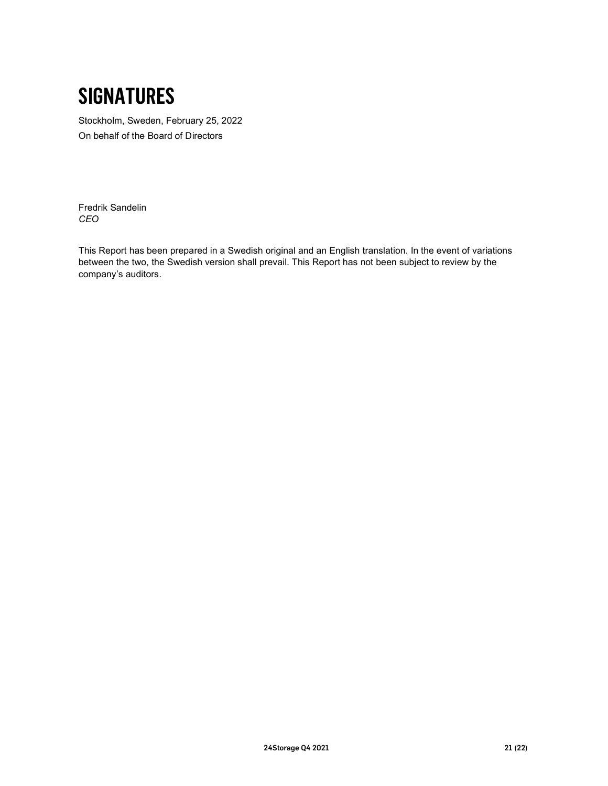### SIGNATURES

Stockholm, Sweden, February 25, 2022 On behalf of the Board of Directors

Fredrik Sandelin CEO

This Report has been prepared in a Swedish original and an English translation. In the event of variations between the two, the Swedish version shall prevail. This Report has not been subject to review by the company's auditors.